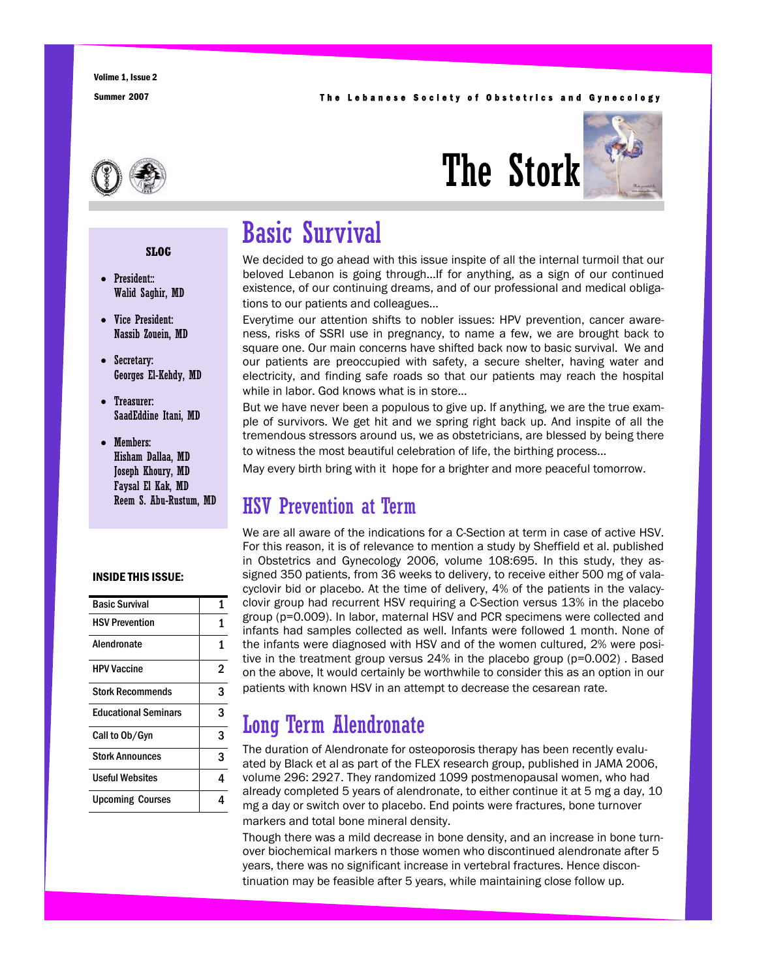#### Summer 2007 **The Lebanese Society of Obstetrics and Gynecology**



# The Stork

# Basic Survival

We decided to go ahead with this issue inspite of all the internal turmoil that our beloved Lebanon is going through...If for anything, as a sign of our continued existence, of our continuing dreams, and of our professional and medical obligations to our patients and colleagues…

Everytime our attention shifts to nobler issues: HPV prevention, cancer awareness, risks of SSRI use in pregnancy, to name a few, we are brought back to square one. Our main concerns have shifted back now to basic survival. We and our patients are preoccupied with safety, a secure shelter, having water and electricity, and finding safe roads so that our patients may reach the hospital while in labor. God knows what is in store…

But we have never been a populous to give up. If anything, we are the true example of survivors. We get hit and we spring right back up. And inspite of all the tremendous stressors around us, we as obstetricians, are blessed by being there to witness the most beautiful celebration of life, the birthing process...

May every birth bring with it hope for a brighter and more peaceful tomorrow.

### HSV Prevention at Term

We are all aware of the indications for a C-Section at term in case of active HSV. For this reason, it is of relevance to mention a study by Sheffield et al. published in Obstetrics and Gynecology 2006, volume 108:695. In this study, they assigned 350 patients, from 36 weeks to delivery, to receive either 500 mg of valacyclovir bid or placebo. At the time of delivery, 4% of the patients in the valacyclovir group had recurrent HSV requiring a C-Section versus 13% in the placebo group (p=0.009). In labor, maternal HSV and PCR specimens were collected and infants had samples collected as well. Infants were followed 1 month. None of the infants were diagnosed with HSV and of the women cultured, 2% were positive in the treatment group versus 24% in the placebo group (p=0.002) . Based on the above, It would certainly be worthwhile to consider this as an option in our patients with known HSV in an attempt to decrease the cesarean rate.

### Long Term Alendronate

The duration of Alendronate for osteoporosis therapy has been recently evaluated by Black et al as part of the FLEX research group, published in JAMA 2006, volume 296: 2927. They randomized 1099 postmenopausal women, who had already completed 5 years of alendronate, to either continue it at 5 mg a day, 10 mg a day or switch over to placebo. End points were fractures, bone turnover markers and total bone mineral density.

Though there was a mild decrease in bone density, and an increase in bone turnover biochemical markers n those women who discontinued alendronate after 5 years, there was no significant increase in vertebral fractures. Hence discontinuation may be feasible after 5 years, while maintaining close follow up.

### **SLOG**

- President:: Walid Saghir, MD
- Vice President: Nassib Zouein, MD
- Secretary: Georges El-Kehdy, MD
- Treasurer: SaadEddine Itani, MD
- Members: Hisham Dallaa, MD Joseph Khoury, MD Faysal El Kak, MD Reem S. Abu-Rustum, MD

#### INSIDE THIS ISSUE:

| <b>Basic Survival</b>       | 1 |
|-----------------------------|---|
| <b>HSV Prevention</b>       | 1 |
| Alendronate                 | 1 |
| <b>HPV Vaccine</b>          | 2 |
| <b>Stork Recommends</b>     | 3 |
| <b>Educational Seminars</b> | 3 |
| Call to Ob/Gyn              | 3 |
| <b>Stork Announces</b>      | 3 |
| Useful Websites             | Δ |
| <b>Upcoming Courses</b>     |   |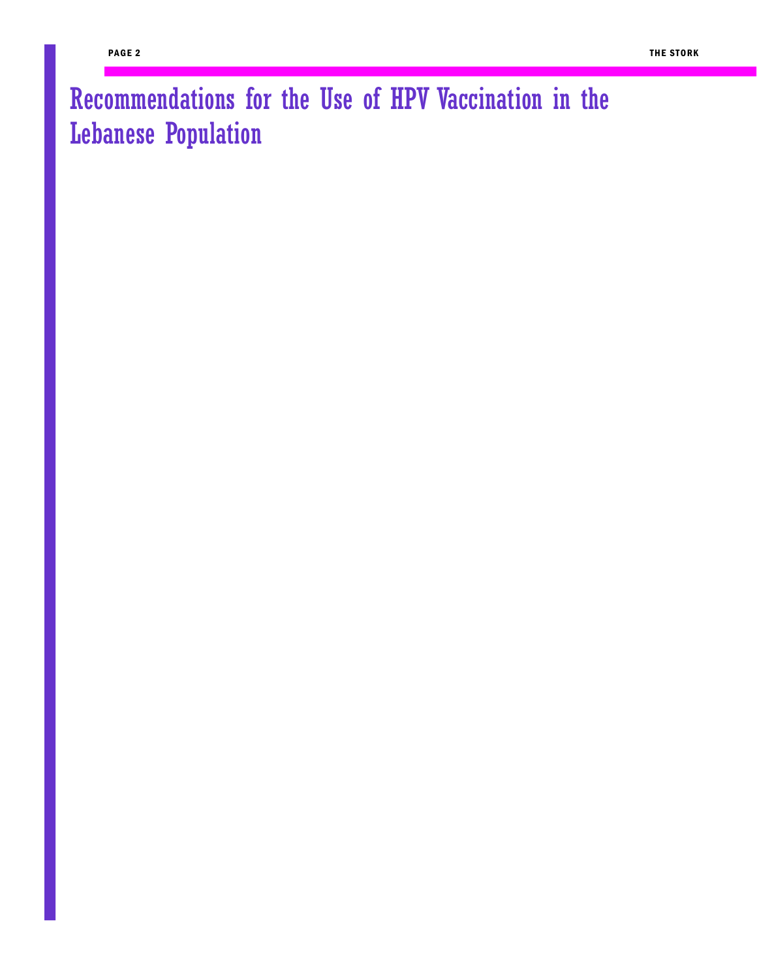Recommendations for the Use of HPV Vaccination in the Lebanese Population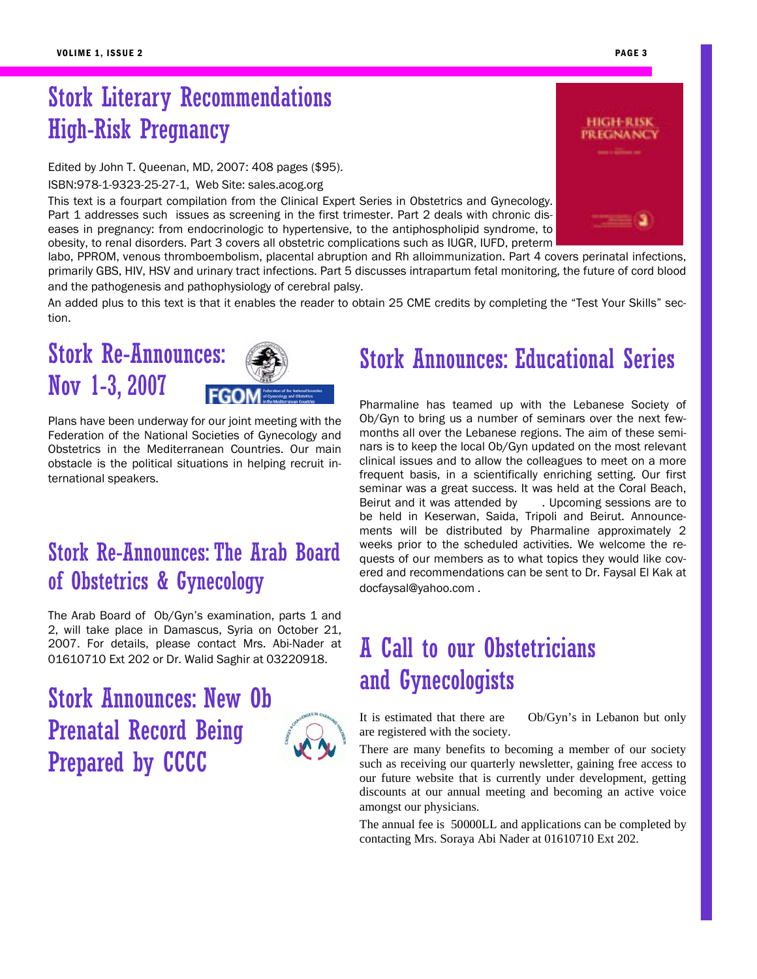# Stork Literary Recommendations High-Risk Pregnancy

Edited by John T. Queenan, MD, 2007: 408 pages (\$95).

ISBN:978-1-9323-25-27-1, Web Site: sales.acog.org

This text is a fourpart compilation from the Clinical Expert Series in Obstetrics and Gynecology. Part 1 addresses such issues as screening in the first trimester. Part 2 deals with chronic diseases in pregnancy: from endocrinologic to hypertensive, to the antiphospholipid syndrome, to obesity, to renal disorders. Part 3 covers all obstetric complications such as IUGR, IUFD, preterm

labo, PPROM, venous thromboembolism, placental abruption and Rh alloimmunization. Part 4 covers perinatal infections, primarily GBS, HIV, HSV and urinary tract infections. Part 5 discusses intrapartum fetal monitoring, the future of cord blood and the pathogenesis and pathophysiology of cerebral palsy.

An added plus to this text is that it enables the reader to obtain 25 CME credits by completing the "Test Your Skills" section.

# Stork Re-Announces: Nov 1-3, 2007



Plans have been underway for our joint meeting with the Federation of the National Societies of Gynecology and Obstetrics in the Mediterranean Countries. Our main obstacle is the political situations in helping recruit international speakers.

### Stork Re-Announces: The Arab Board of Obstetrics & Gynecology

The Arab Board of Ob/Gyn's examination, parts 1 and 2, will take place in Damascus, Syria on October 21, 2007. For details, please contact Mrs. Abi-Nader at 01610710 Ext 202 or Dr. Walid Saghir at 03220918.

# Stork Announces: New Ob Prenatal Record Being Prepared by CCCC



# Stork Announces: Educational Series

Pharmaline has teamed up with the Lebanese Society of Ob/Gyn to bring us a number of seminars over the next fewmonths all over the Lebanese regions. The aim of these seminars is to keep the local Ob/Gyn updated on the most relevant clinical issues and to allow the colleagues to meet on a more frequent basis, in a scientifically enriching setting. Our first seminar was a great success. It was held at the Coral Beach, Beirut and it was attended by . Upcoming sessions are to be held in Keserwan, Saida, Tripoli and Beirut. Announcements will be distributed by Pharmaline approximately 2 weeks prior to the scheduled activities. We welcome the requests of our members as to what topics they would like covered and recommendations can be sent to Dr. Faysal El Kak at docfaysal@yahoo.com .

# A Call to our Obstetricians and Gynecologists

are registered with the society.

It is estimated that there are Ob/Gyn's in Lebanon but only

There are many benefits to becoming a member of our society such as receiving our quarterly newsletter, gaining free access to our future website that is currently under development, getting discounts at our annual meeting and becoming an active voice amongst our physicians.

The annual fee is 50000LL and applications can be completed by contacting Mrs. Soraya Abi Nader at 01610710 Ext 202.